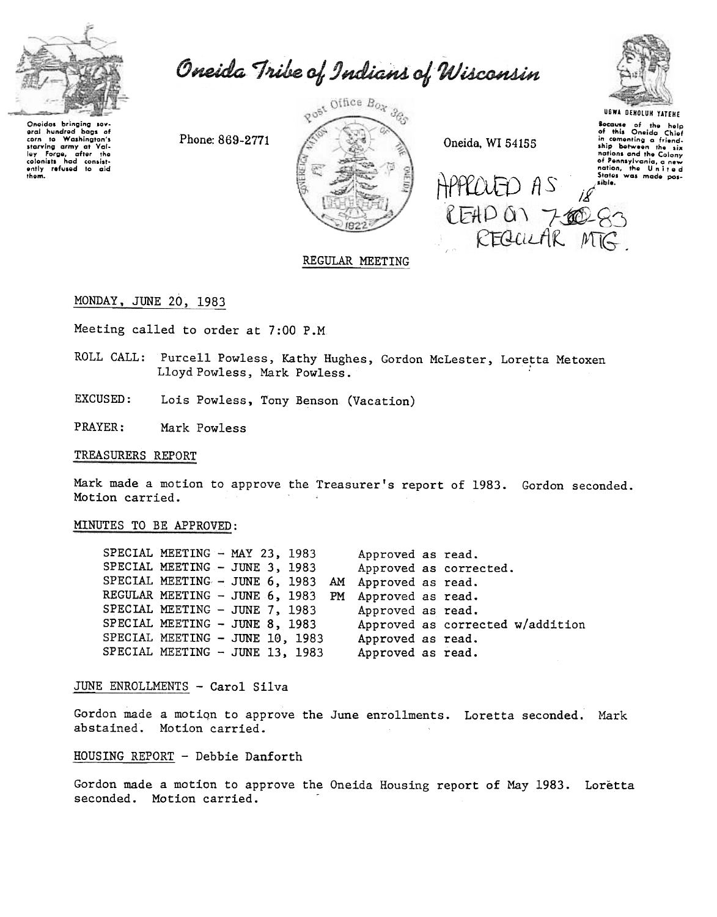

Oneida Tribe of Indians of Wisconsin

Oneidas brinaina sev Uneiaas aringing ser-<br>aral hundred bags of<br>corn to Washington's corn to Washington's<br>starving army at Valley Forge, after the<br>colonists had consistently refused to aid<br>entity refused to aid thom.

Phone: 869-2771



Oneida, WI 54155

APPROJED AS

READ ON 700-83



**Secause** of the help<br>of this Oneida Chief of this Oneida Chief<br>in comenting a friend-<br>ship botween the six nations and the Colony of Pennsylvania, a new<br>nation, the United<br>States was made pos-

# REGULAR MEETING

MONDAY, JUNE 20, 1983

Meeting called to order at 7:00 P.M.

ROLL CALL: Purcell Powless, Kathy Hughes, Gordon McLester, Loretta Metoxen Lloyd Powless, Mark Powless.

**EXCUSED:** Lois Powless, Tony Benson (Vacation)

PRAYER: Mark Powless

#### TREASURERS REPORT

Mark made a motion to approve the Treasurer's report of 1983. Gordon seconded. Motion carried.

### MINUTES TO BE APPROVED:

SPECIAL MEETING - MAY 23, 1983 Approved as read. SPECIAL MEETING - JUNE 3, 1983 Approved as corrected. SPECIAL MEETING - JUNE 6, 1983 AM Approved as read. REGULAR MEETING - JUNE 6, 1983 PM Approved as read. SPECIAL MEETING - JUNE 7, 1983 Approved as read. SPECIAL MEETING - JUNE 8, 1983 Approved as corrected w/addition SPECIAL MEETING - JUNE 10, 1983 Approved as read. SPECIAL MEETING - JUNE 13, 1983 Approved as read.

## JUNE ENROLLMENTS - Carol Silva

Gordon made a motion to approve the June enrollments. Loretta seconded. Mark abstained. Motion carried.

#### HOUSING REPORT - Debbie Danforth

Gordon made a motion to approve the Oneida Housing report of May 1983. Loretta seconded. Motion carried.